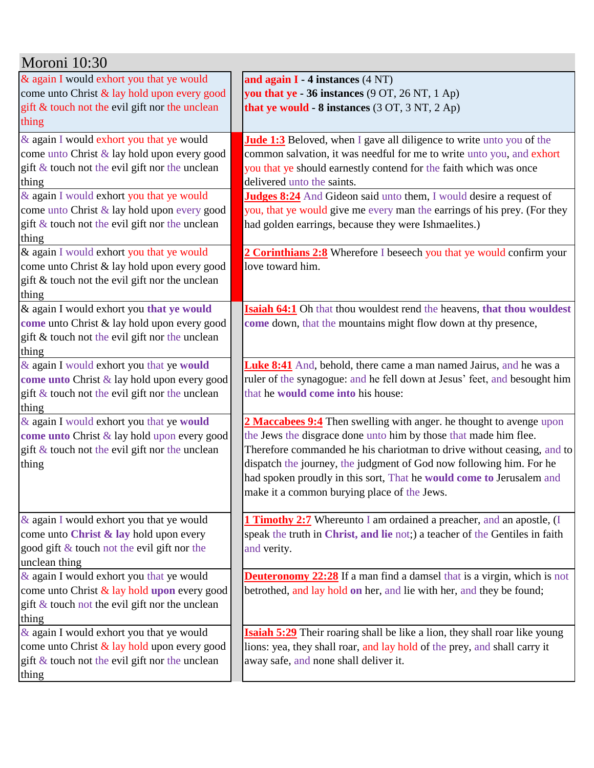| Moroni 10:30                                   |                                                                                   |  |
|------------------------------------------------|-----------------------------------------------------------------------------------|--|
| & again I would exhort you that ye would       | and again $I - 4$ instances $(4 NT)$                                              |  |
| come unto Christ & lay hold upon every good    | you that ye $-36$ instances $(9 \text{ OT}, 26 \text{ NT}, 1 \text{ Ap})$         |  |
| gift & touch not the evil gift nor the unclean | that ye would - 8 instances (3 OT, 3 NT, 2 Ap)                                    |  |
| thing                                          |                                                                                   |  |
| & again I would exhort you that ye would       | <b>Jude 1:3</b> Beloved, when I gave all diligence to write unto you of the       |  |
| come unto Christ & lay hold upon every good    | common salvation, it was needful for me to write unto you, and exhort             |  |
| gift & touch not the evil gift nor the unclean | you that ye should earnestly contend for the faith which was once                 |  |
| thing                                          | delivered unto the saints.                                                        |  |
| & again I would exhort you that ye would       | Judges 8:24 And Gideon said unto them, I would desire a request of                |  |
| come unto Christ & lay hold upon every good    | you, that ye would give me every man the earrings of his prey. (For they          |  |
| gift & touch not the evil gift nor the unclean | had golden earrings, because they were Ishmaelites.)                              |  |
| thing                                          |                                                                                   |  |
| & again I would exhort you that ye would       | 2 Corinthians 2:8 Wherefore I beseech you that ye would confirm your              |  |
| come unto Christ & lay hold upon every good    | love toward him.                                                                  |  |
| gift & touch not the evil gift nor the unclean |                                                                                   |  |
| thing                                          |                                                                                   |  |
| & again I would exhort you that ye would       | Isaiah 64:1 Oh that thou wouldest rend the heavens, that thou wouldest            |  |
| come unto Christ & lay hold upon every good    | come down, that the mountains might flow down at thy presence,                    |  |
| gift & touch not the evil gift nor the unclean |                                                                                   |  |
| thing                                          |                                                                                   |  |
| & again I would exhort you that ye would       | <b>Luke 8:41</b> And, behold, there came a man named Jairus, and he was a         |  |
| come unto Christ & lay hold upon every good    | ruler of the synagogue: and he fell down at Jesus' feet, and besought him         |  |
| gift & touch not the evil gift nor the unclean | that he would come into his house:                                                |  |
| thing                                          |                                                                                   |  |
| & again I would exhort you that ye would       | 2 Maccabees 9:4 Then swelling with anger. he thought to avenge upon               |  |
| come unto Christ & lay hold upon every good    | the Jews the disgrace done unto him by those that made him flee.                  |  |
| gift & touch not the evil gift nor the unclean | Therefore commanded he his chariotman to drive without ceasing, and to            |  |
| thing                                          | dispatch the journey, the judgment of God now following him. For he               |  |
|                                                | had spoken proudly in this sort, That he would come to Jerusalem and              |  |
|                                                | make it a common burying place of the Jews.                                       |  |
|                                                |                                                                                   |  |
| & again I would exhort you that ye would       | <b>1 Timothy 2:7</b> Whereunto I am ordained a preacher, and an apostle, (I       |  |
| come unto Christ & lay hold upon every         | speak the truth in Christ, and lie not;) a teacher of the Gentiles in faith       |  |
| good gift & touch not the evil gift nor the    | and verity.                                                                       |  |
| unclean thing                                  |                                                                                   |  |
| & again I would exhort you that ye would       | <b>Deuteronomy 22:28</b> If a man find a damsel that is a virgin, which is not    |  |
| come unto Christ & lay hold upon every good    | betrothed, and lay hold on her, and lie with her, and they be found;              |  |
| gift & touch not the evil gift nor the unclean |                                                                                   |  |
| thing                                          |                                                                                   |  |
| & again I would exhort you that ye would       | <b>Isaiah 5:29</b> Their roaring shall be like a lion, they shall roar like young |  |
| come unto Christ & lay hold upon every good    | lions: yea, they shall roar, and lay hold of the prey, and shall carry it         |  |
| gift & touch not the evil gift nor the unclean | away safe, and none shall deliver it.                                             |  |
| thing                                          |                                                                                   |  |